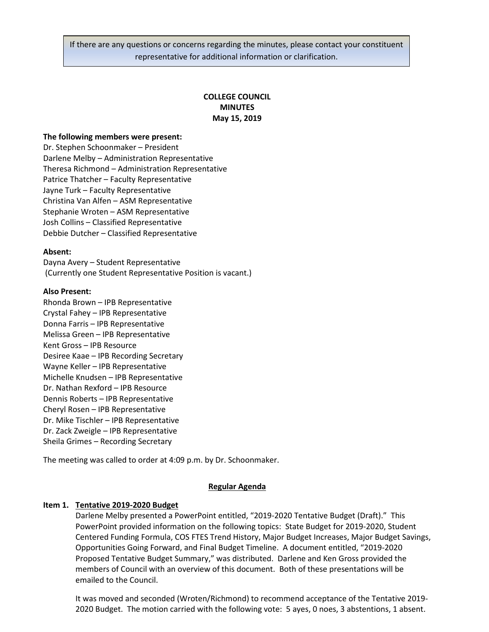If there are any questions or concerns regarding the minutes, please contact your constituent representative for additional information or clarification.

# **COLLEGE COUNCIL MINUTES May 15, 2019**

### **The following members were present:**

Dr. Stephen Schoonmaker – President Darlene Melby – Administration Representative Theresa Richmond – Administration Representative Patrice Thatcher – Faculty Representative Jayne Turk – Faculty Representative Christina Van Alfen – ASM Representative Stephanie Wroten – ASM Representative Josh Collins – Classified Representative Debbie Dutcher – Classified Representative

#### **Absent:**

Dayna Avery – Student Representative (Currently one Student Representative Position is vacant.)

#### **Also Present:**

Rhonda Brown – IPB Representative Crystal Fahey – IPB Representative Donna Farris – IPB Representative Melissa Green – IPB Representative Kent Gross – IPB Resource Desiree Kaae – IPB Recording Secretary Wayne Keller – IPB Representative Michelle Knudsen – IPB Representative Dr. Nathan Rexford – IPB Resource Dennis Roberts – IPB Representative Cheryl Rosen – IPB Representative Dr. Mike Tischler – IPB Representative Dr. Zack Zweigle – IPB Representative Sheila Grimes – Recording Secretary

The meeting was called to order at 4:09 p.m. by Dr. Schoonmaker.

### **Regular Agenda**

### **Item 1. Tentative 2019-2020 Budget**

Darlene Melby presented a PowerPoint entitled, "2019-2020 Tentative Budget (Draft)." This PowerPoint provided information on the following topics: State Budget for 2019-2020, Student Centered Funding Formula, COS FTES Trend History, Major Budget Increases, Major Budget Savings, Opportunities Going Forward, and Final Budget Timeline. A document entitled, "2019-2020 Proposed Tentative Budget Summary," was distributed. Darlene and Ken Gross provided the members of Council with an overview of this document. Both of these presentations will be emailed to the Council.

It was moved and seconded (Wroten/Richmond) to recommend acceptance of the Tentative 2019- 2020 Budget. The motion carried with the following vote: 5 ayes, 0 noes, 3 abstentions, 1 absent.